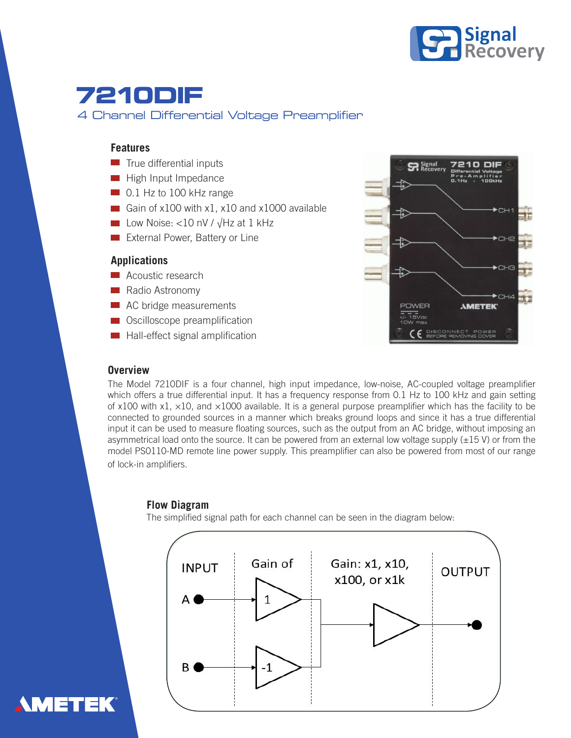

# **7210DIF** 4 Channel Differential Voltage Preamplifier

### **Features**

- $\blacksquare$  True differential inputs
- **High Input Impedance**
- 0.1 Hz to 100 kHz range
- Gain of x100 with x1, x10 and x1000 available
- Low Noise: <10 nV / √Hz at 1 kHz
- **External Power, Battery or Line**

### **Applications**

- **Acoustic research**
- Radio Astronomy
- AC bridge measurements
- **■** Oscilloscope preamplification
- **Hall-effect signal amplification**



## **Overview**

The Model 7210DIF is a four channel, high input impedance, low-noise, AC-coupled voltage preamplifier which offers a true differential input. It has a frequency response from 0.1 Hz to 100 kHz and gain setting of x100 with x1,  $\times$ 10, and  $\times$ 1000 available. It is a general purpose preamplifier which has the facility to be connected to grounded sources in a manner which breaks ground loops and since it has a true differential input it can be used to measure floating sources, such as the output from an AC bridge, without imposing an asymmetrical load onto the source. It can be powered from an external low voltage supply  $(\pm 15 \text{ V})$  or from the model PS0110-MD remote line power supply. This preamplifier can also be powered from most of our range of lock-in amplifiers.

#### **Flow Diagram**

The simplified signal path for each channel can be seen in the diagram below: